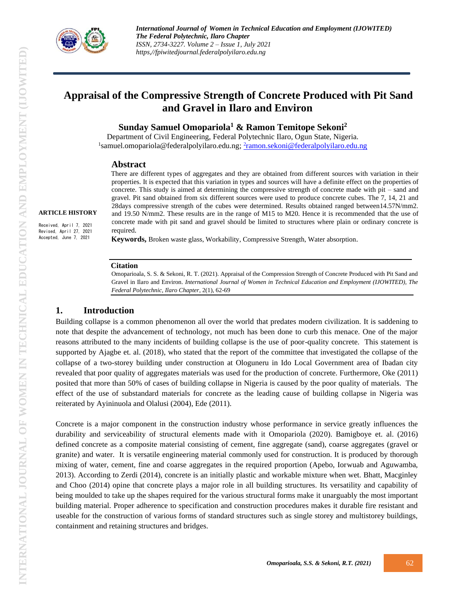

# **Appraisal of the Compressive Strength of Concrete Produced with Pit Sand and Gravel in Ilaro and Environ**

**Sunday Samuel Omopariola<sup>1</sup> & Ramon Temitope Sekoni<sup>2</sup>**

Department of Civil Engineering, Federal Polytechnic Ilaro, Ogun State, Nigeria. <sup>1</sup>samuel.omopariola@federalpolyilaro.edu.ng; <sup>2</sup>[ramon.sekoni@federalpolyilaro.edu.ng](mailto:2ramon.sekoni@federalpolyilaro.edu.ng)

#### **Abstract**

There are different types of aggregates and they are obtained from different sources with variation in their properties. It is expected that this variation in types and sources will have a definite effect on the properties of concrete. This study is aimed at determining the compressive strength of concrete made with pit – sand and gravel. Pit sand obtained from six different sources were used to produce concrete cubes. The 7, 14, 21 and 28days compressive strength of the cubes were determined. Results obtained ranged between14.57N/mm2. and 19.50 N/mm2. These results are in the range of M15 to M20. Hence it is recommended that the use of concrete made with pit sand and gravel should be limited to structures where plain or ordinary concrete is required*.*

**Keywords,** Broken waste glass, Workability, Compressive Strength, Water absorption*.*

#### **Citation**

Omoparioala, S. S. & Sekoni, R. T. (2021). Appraisal of the Compression Strength of Concrete Produced with Pit Sand and Gravel in Ilaro and Environ. *International Journal of Women in Technical Education and Employment (IJOWITED), The Federal Polytechnic, Ilaro Chapter*, 2(1), 62-69

### **1. Introduction**

**ARTICLE HISTORY** Received, April 7, 2021 Revised, April 27, 2021 Accepted, June 7, 2021

> Building collapse is a common phenomenon all over the world that predates modern civilization. It is saddening to note that despite the advancement of technology, not much has been done to curb this menace. One of the major reasons attributed to the many incidents of building collapse is the use of poor-quality concrete. This statement is supported by Ajagbe et. al. (2018), who stated that the report of the committee that investigated the collapse of the collapse of a two-storey building under construction at Ologuneru in Ido Local Government area of Ibadan city revealed that poor quality of aggregates materials was used for the production of concrete. Furthermore, Oke (2011) posited that more than 50% of cases of building collapse in Nigeria is caused by the poor quality of materials. The effect of the use of substandard materials for concrete as the leading cause of building collapse in Nigeria was reiterated by Ayininuola and Olalusi (2004), Ede (2011).

> Concrete is a major component in the construction industry whose performance in service greatly influences the durability and serviceability of structural elements made with it Omopariola (2020). Bamigboye et. al. (2016) defined concrete as a composite material consisting of cement, fine aggregate (sand), coarse aggregates (gravel or granite) and water. It is versatile engineering material commonly used for construction. It is produced by thorough mixing of water, cement, fine and coarse aggregates in the required proportion (Apebo, Iorwuab and Aguwamba, 2013). According to Zerdi (2014), concrete is an initially plastic and workable mixture when wet. Bhatt, Macginley and Choo (2014) opine that concrete plays a major role in all building structures. Its versatility and capability of being moulded to take up the shapes required for the various structural forms make it unarguably the most important building material. Proper adherence to specification and construction procedures makes it durable fire resistant and useable for the construction of various forms of standard structures such as single storey and multistorey buildings, containment and retaining structures and bridges.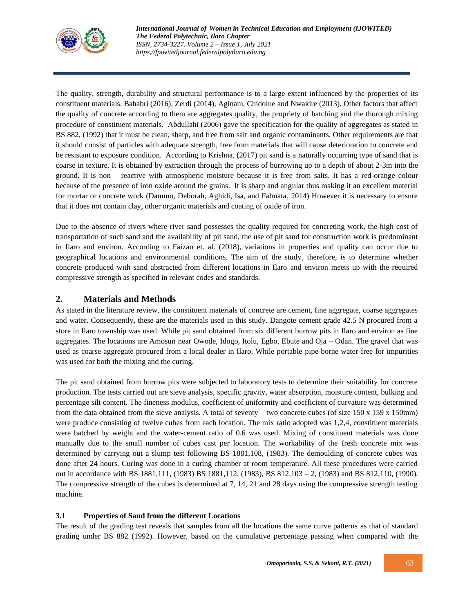

The quality, strength, durability and structural performance is to a large extent influenced by the properties of its constituent materials. Bahabri (2016), Zerdi (2014), Aginam, Chidolue and Nwakire (2013). Other factors that affect the quality of concrete according to them are aggregates quality, the propriety of batching and the thorough mixing procedure of constituent materials. Abdullahi (2006) gave the specification for the quality of aggregates as stated in BS 882, (1992) that it must be clean, sharp, and free from salt and organic contaminants. Other requirements are that it should consist of particles with adequate strength, free from materials that will cause deterioration to concrete and be resistant to exposure condition. According to Krishna, (2017) pit sand is a naturally occurring type of sand that is coarse in texture. It is obtained by extraction through the process of burrowing up to a depth of about 2-3m into the ground. It is non – reactive with atmospheric moisture because it is free from salts. It has a red-orange colour because of the presence of iron oxide around the grains. It is sharp and angular thus making it an excellent material for mortar or concrete work (Dammo, Deborah, Aghidi, Isa, and Falmata, 2014) However it is necessary to ensure that it does not contain clay, other organic materials and coating of oxide of iron.

Due to the absence of rivers where river sand possesses the quality required for concreting work, the high cost of transportation of such sand and the availability of pit sand, the use of pit sand for construction work is predominant in Ilaro and environ. According to Faizan et. al. (2018), variations in properties and quality can occur due to geographical locations and environmental conditions. The aim of the study, therefore, is to determine whether concrete produced with sand abstracted from different locations in Ilaro and environ meets up with the required compressive strength as specified in relevant codes and standards.

## **2. Materials and Methods**

As stated in the literature review, the constituent materials of concrete are cement, fine aggregate, coarse aggregates and water. Consequently, these are the materials used in this study. Dangote cement grade 42.5 N procured from a store in Ilaro township was used. While pit sand obtained from six different burrow pits in Ilaro and environ as fine aggregates. The locations are Amosun near Owode, Idogo, Itolu, Egbo, Ebute and Oja – Odan. The gravel that was used as coarse aggregate procured from a local dealer in Ilaro. While portable pipe-borne water-free for impurities was used for both the mixing and the curing.

The pit sand obtained from burrow pits were subjected to laboratory tests to determine their suitability for concrete production. The tests carried out are sieve analysis, specific gravity, water absorption, moisture content, bulking and percentage silt content. The fineness modulus, coefficient of uniformity and coefficient of curvature was determined from the data obtained from the sieve analysis. A total of seventy – two concrete cubes (of size 150 x 159 x 150mm) were produce consisting of twelve cubes from each location. The mix ratio adopted was 1,2,4, constituent materials were batched by weight and the water-cement ratio of 0.6 was used. Mixing of constituent materials was done manually due to the small number of cubes cast per location. The workability of the fresh concrete mix was determined by carrying out a slump test following BS 1881,108, (1983). The demoulding of concrete cubes was done after 24 hours. Curing was done in a curing chamber at room temperature. All these procedures were carried out in accordance with BS 1881,111, (1983) BS 1881,112, (1983), BS 812,103 – 2, (1983) and BS 812,110, (1990). The compressive strength of the cubes is determined at 7, 14, 21 and 28 days using the compressive strength testing machine.

### **3.1 Properties of Sand from the different Locations**

The result of the grading test reveals that samples from all the locations the same curve patterns as that of standard grading under BS 882 (1992). However, based on the cumulative percentage passing when compared with the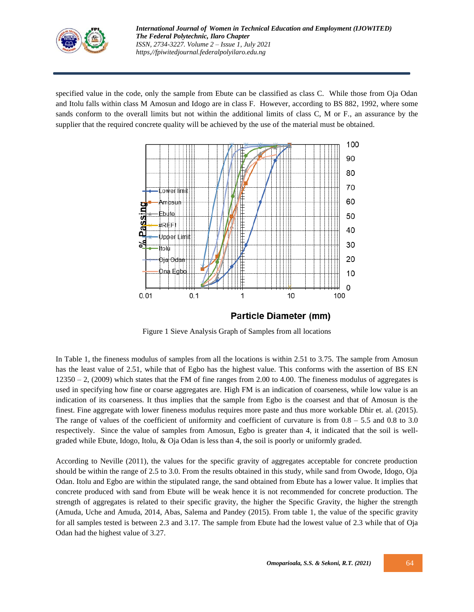

specified value in the code, only the sample from Ebute can be classified as class C. While those from Oja Odan and Itolu falls within class M Amosun and Idogo are in class F. However, according to BS 882, 1992, where some sands conform to the overall limits but not within the additional limits of class C, M or F., an assurance by the supplier that the required concrete quality will be achieved by the use of the material must be obtained.



Figure 1 Sieve Analysis Graph of Samples from all locations

In Table 1, the fineness modulus of samples from all the locations is within 2.51 to 3.75. The sample from Amosun has the least value of 2.51, while that of Egbo has the highest value. This conforms with the assertion of BS EN  $12350 - 2$ , (2009) which states that the FM of fine ranges from 2.00 to 4.00. The fineness modulus of aggregates is used in specifying how fine or coarse aggregates are. High FM is an indication of coarseness, while low value is an indication of its coarseness. It thus implies that the sample from Egbo is the coarsest and that of Amosun is the finest. Fine aggregate with lower fineness modulus requires more paste and thus more workable Dhir et. al. (2015). The range of values of the coefficient of uniformity and coefficient of curvature is from  $0.8 - 5.5$  and  $0.8$  to 3.0 respectively. Since the value of samples from Amosun, Egbo is greater than 4, it indicated that the soil is wellgraded while Ebute, Idogo, Itolu, & Oja Odan is less than 4, the soil is poorly or uniformly graded.

According to Neville (2011), the values for the specific gravity of aggregates acceptable for concrete production should be within the range of 2.5 to 3.0. From the results obtained in this study, while sand from Owode, Idogo, Oja Odan. Itolu and Egbo are within the stipulated range, the sand obtained from Ebute has a lower value. It implies that concrete produced with sand from Ebute will be weak hence it is not recommended for concrete production. The strength of aggregates is related to their specific gravity, the higher the Specific Gravity, the higher the strength (Amuda, Uche and Amuda, 2014, Abas, Salema and Pandey (2015). From table 1, the value of the specific gravity for all samples tested is between 2.3 and 3.17. The sample from Ebute had the lowest value of 2.3 while that of Oja Odan had the highest value of 3.27.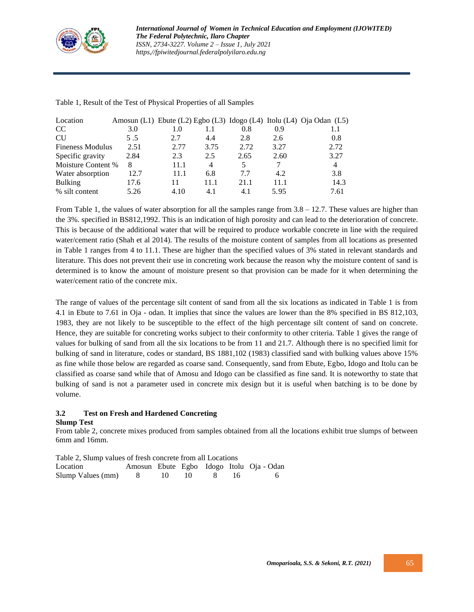

| Location                |      |      |      |      |      | Amosun (L1) Ebute (L2) Egbo (L3) Idogo (L4) Itolu (L4) Oja Odan (L5) |
|-------------------------|------|------|------|------|------|----------------------------------------------------------------------|
| CC                      | 3.0  | 1.0  |      | 0.8  | 0.9  |                                                                      |
| <b>CU</b>               | 5.5  | 2.7  | 4.4  | 2.8  | 2.6  | 0.8                                                                  |
| <b>Fineness Modulus</b> | 2.51 | 2.77 | 3.75 | 2.72 | 3.27 | 2.72                                                                 |
| Specific gravity        | 2.84 | 2.3  | 2.5  | 2.65 | 2.60 | 3.27                                                                 |
| Moisture Content %      | 8    | 11.1 | 4    | 5.   |      | $\overline{4}$                                                       |
| Water absorption        | 12.7 | 11.1 | 6.8  | 7.7  | 4.2  | 3.8                                                                  |
| <b>Bulking</b>          | 17.6 | 11   | 11.1 | 21.1 | 11.1 | 14.3                                                                 |
| % silt content          | 5.26 | 4.10 | 4.1  | 4.1  | 5.95 | 7.61                                                                 |

Table 1, Result of the Test of Physical Properties of all Samples

From Table 1, the values of water absorption for all the samples range from  $3.8 - 12.7$ . These values are higher than the 3%. specified in BS812,1992. This is an indication of high porosity and can lead to the deterioration of concrete. This is because of the additional water that will be required to produce workable concrete in line with the required water/cement ratio (Shah et al 2014). The results of the moisture content of samples from all locations as presented in Table 1 ranges from 4 to 11.1. These are higher than the specified values of 3% stated in relevant standards and literature. This does not prevent their use in concreting work because the reason why the moisture content of sand is determined is to know the amount of moisture present so that provision can be made for it when determining the water/cement ratio of the concrete mix.

The range of values of the percentage silt content of sand from all the six locations as indicated in Table 1 is from 4.1 in Ebute to 7.61 in Oja - odan. It implies that since the values are lower than the 8% specified in BS 812,103, 1983, they are not likely to be susceptible to the effect of the high percentage silt content of sand on concrete. Hence, they are suitable for concreting works subject to their conformity to other criteria. Table 1 gives the range of values for bulking of sand from all the six locations to be from 11 and 21.7. Although there is no specified limit for bulking of sand in literature, codes or standard, BS 1881,102 (1983) classified sand with bulking values above 15% as fine while those below are regarded as coarse sand. Consequently, sand from Ebute, Egbo, Idogo and Itolu can be classified as coarse sand while that of Amosu and Idogo can be classified as fine sand. It is noteworthy to state that bulking of sand is not a parameter used in concrete mix design but it is useful when batching is to be done by volume.

# **3.2 Test on Fresh and Hardened Concreting**

### **Slump Test**

From table 2, concrete mixes produced from samples obtained from all the locations exhibit true slumps of between 6mm and 16mm.

| Table 2, Slump values of fresh concrete from all Locations |  |      |  |             |       |                                          |  |  |  |
|------------------------------------------------------------|--|------|--|-------------|-------|------------------------------------------|--|--|--|
| Location                                                   |  |      |  |             |       | Amosun Ebute Egbo Idogo Itolu Oja - Odan |  |  |  |
| Slump Values (mm) 8                                        |  | -10- |  | $10 \times$ | -16 - | <b>6</b>                                 |  |  |  |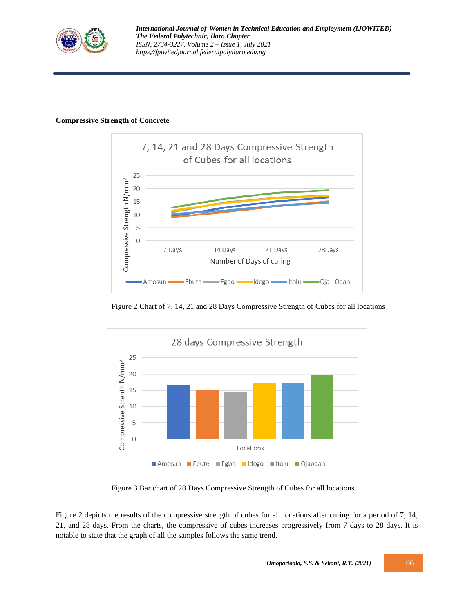

### **Compressive Strength of Concrete**



Figure 2 Chart of 7, 14, 21 and 28 Days Compressive Strength of Cubes for all locations



Figure 3 Bar chart of 28 Days Compressive Strength of Cubes for all locations

Figure 2 depicts the results of the compressive strength of cubes for all locations after curing for a period of 7, 14, 21, and 28 days. From the charts, the compressive of cubes increases progressively from 7 days to 28 days. It is notable to state that the graph of all the samples follows the same trend.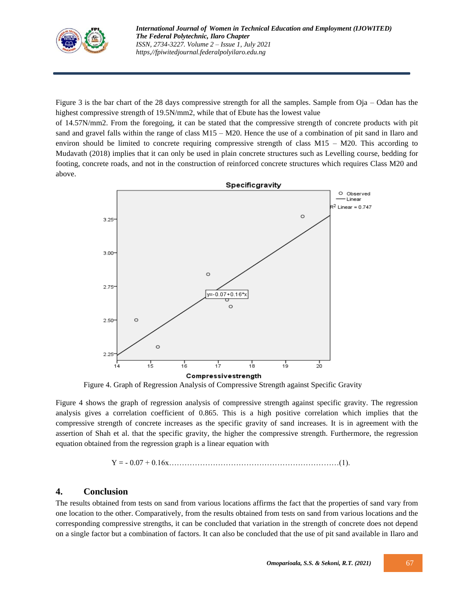

Figure 3 is the bar chart of the 28 days compressive strength for all the samples. Sample from Oja – Odan has the highest compressive strength of 19.5N/mm2, while that of Ebute has the lowest value

of 14.57N/mm2. From the foregoing, it can be stated that the compressive strength of concrete products with pit sand and gravel falls within the range of class M15 – M20. Hence the use of a combination of pit sand in Ilaro and environ should be limited to concrete requiring compressive strength of class  $M15 - M20$ . This according to Mudavath (2018) implies that it can only be used in plain concrete structures such as Levelling course, bedding for footing, concrete roads, and not in the construction of reinforced concrete structures which requires Class M20 and above.



Figure 4. Graph of Regression Analysis of Compressive Strength against Specific Gravity

Figure 4 shows the graph of regression analysis of compressive strength against specific gravity. The regression analysis gives a correlation coefficient of 0.865. This is a high positive correlation which implies that the compressive strength of concrete increases as the specific gravity of sand increases. It is in agreement with the assertion of Shah et al. that the specific gravity, the higher the compressive strength. Furthermore, the regression equation obtained from the regression graph is a linear equation with

Y = - 0.07 + 0.16x…………………………………………………………(1).

### **4. Conclusion**

The results obtained from tests on sand from various locations affirms the fact that the properties of sand vary from one location to the other. Comparatively, from the results obtained from tests on sand from various locations and the corresponding compressive strengths, it can be concluded that variation in the strength of concrete does not depend on a single factor but a combination of factors. It can also be concluded that the use of pit sand available in Ilaro and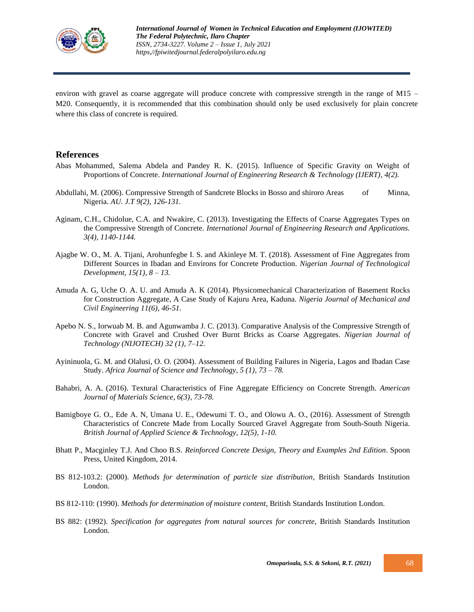

environ with gravel as coarse aggregate will produce concrete with compressive strength in the range of M15 – M20. Consequently, it is recommended that this combination should only be used exclusively for plain concrete where this class of concrete is required.

### **References**

- Abas Mohammed, Salema Abdela and Pandey R. K. (2015). Influence of Specific Gravity on Weight of Proportions of Concrete. *International Journal of Engineering Research & Technology (IJERT), 4(2).*
- Abdullahi, M. (2006). Compressive Strength of Sandcrete Blocks in Bosso and shiroro Areas of Minna, Nigeria. *AU. J.T 9(2), 126-131.*
- Aginam, C.H., Chidolue, C.A. and Nwakire, C. (2013). Investigating the Effects of Coarse Aggregates Types on the Compressive Strength of Concrete. *International Journal of Engineering Research and Applications. 3(4), 1140-1144.*
- Ajagbe W. O., M. A. Tijani, Arohunfegbe I. S. and Akinleye M. T. (2018). Assessment of Fine Aggregates from Different Sources in Ibadan and Environs for Concrete Production. *Nigerian Journal of Technological Development, 15(1), 8 – 13.*
- Amuda A. G, Uche O. A. U. and Amuda A. K (2014). Physicomechanical Characterization of Basement Rocks for Construction Aggregate, A Case Study of Kajuru Area, Kaduna. *Nigeria Journal of Mechanical and Civil Engineering 11(6), 46-51.*
- Apebo N. S., Iorwuab M. B. and Agunwamba J. C. (2013). Comparative Analysis of the Compressive Strength of Concrete with Gravel and Crushed Over Burnt Bricks as Coarse Aggregates. *Nigerian Journal of Technology (NIJOTECH) 32 (1), 7–12.*
- Ayininuola, G. M. and Olalusi, O. O. (2004). Assessment of Building Failures in Nigeria, Lagos and Ibadan Case Study. *Africa Journal of Science and Technology, 5 (1), 73 – 78.*
- Bahabri, A. A. (2016). Textural Characteristics of Fine Aggregate Efficiency on Concrete Strength. *American Journal of Materials Science, 6(3), 73-78.*
- Bamigboye G. O., Ede A. N, Umana U. E., Odewumi T. O., and Olowu A. O., (2016). Assessment of Strength Characteristics of Concrete Made from Locally Sourced Gravel Aggregate from South-South Nigeria. *British Journal of Applied Science & Technology, 12(5), 1-10.*
- Bhatt P., Macginley T.J. And Choo B.S. *Reinforced Concrete Design, Theory and Examples 2nd Edition*. Spoon Press, United Kingdom, 2014.
- BS 812-103.2: (2000). *Methods for determination of particle size distribution*, British Standards Institution London.
- BS 812-110: (1990). *Methods for determination of moisture content*, British Standards Institution London.
- BS 882: (1992). *Specification for aggregates from natural sources for concrete*, British Standards Institution London.